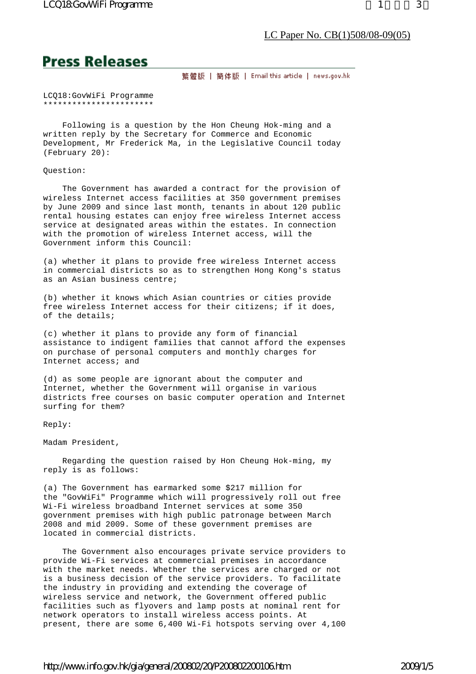# **Press Releases**

繁體版 | 簡体版 | Email this article | news.gov.hk

LCQ18:GovWiFi Programme \*\*\*\*\*\*\*\*\*\*\*\*\*\*\*\*\*\*\*\*\*\*\*

 Following is a question by the Hon Cheung Hok-ming and a written reply by the Secretary for Commerce and Economic Development, Mr Frederick Ma, in the Legislative Council today (February 20):

## Question:

 The Government has awarded a contract for the provision of wireless Internet access facilities at 350 government premises by June 2009 and since last month, tenants in about 120 public rental housing estates can enjoy free wireless Internet access service at designated areas within the estates. In connection with the promotion of wireless Internet access, will the Government inform this Council:

(a) whether it plans to provide free wireless Internet access in commercial districts so as to strengthen Hong Kong's status as an Asian business centre;

(b) whether it knows which Asian countries or cities provide free wireless Internet access for their citizens; if it does, of the details;

(c) whether it plans to provide any form of financial assistance to indigent families that cannot afford the expenses on purchase of personal computers and monthly charges for Internet access; and

(d) as some people are ignorant about the computer and Internet, whether the Government will organise in various districts free courses on basic computer operation and Internet surfing for them?

Reply:

Madam President,

 Regarding the question raised by Hon Cheung Hok-ming, my reply is as follows:

(a) The Government has earmarked some \$217 million for the "GovWiFi" Programme which will progressively roll out free Wi-Fi wireless broadband Internet services at some 350 government premises with high public patronage between March 2008 and mid 2009. Some of these government premises are located in commercial districts.

 The Government also encourages private service providers to provide Wi-Fi services at commercial premises in accordance with the market needs. Whether the services are charged or not is a business decision of the service providers. To facilitate the industry in providing and extending the coverage of wireless service and network, the Government offered public facilities such as flyovers and lamp posts at nominal rent for network operators to install wireless access points. At present, there are some 6,400 Wi-Fi hotspots serving over 4,100

# http://www.info.gov.hk/gia/general/200802/20/P200802200106.htm 2009/1/5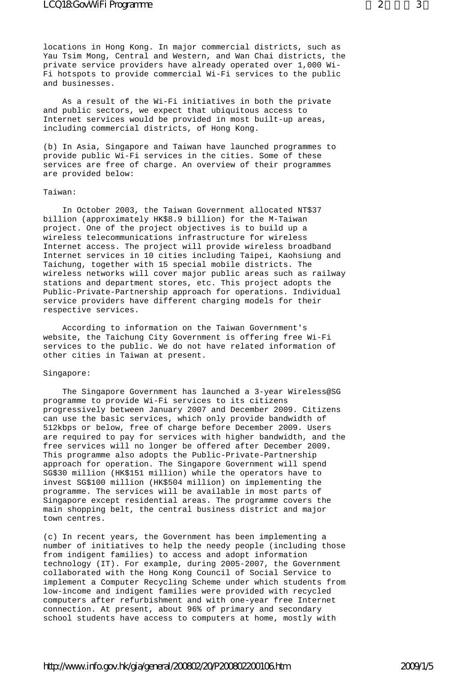locations in Hong Kong. In major commercial districts, such as Yau Tsim Mong, Central and Western, and Wan Chai districts, the private service providers have already operated over 1,000 Wi-Fi hotspots to provide commercial Wi-Fi services to the public and businesses.

 As a result of the Wi-Fi initiatives in both the private and public sectors, we expect that ubiquitous access to Internet services would be provided in most built-up areas, including commercial districts, of Hong Kong.

(b) In Asia, Singapore and Taiwan have launched programmes to provide public Wi-Fi services in the cities. Some of these services are free of charge. An overview of their programmes are provided below:

#### Taiwan:

 In October 2003, the Taiwan Government allocated NT\$37 billion (approximately HK\$8.9 billion) for the M-Taiwan project. One of the project objectives is to build up a wireless telecommunications infrastructure for wireless Internet access. The project will provide wireless broadband Internet services in 10 cities including Taipei, Kaohsiung and Taichung, together with 15 special mobile districts. The wireless networks will cover major public areas such as railway stations and department stores, etc. This project adopts the Public-Private-Partnership approach for operations. Individual service providers have different charging models for their respective services.

 According to information on the Taiwan Government's website, the Taichung City Government is offering free Wi-Fi services to the public. We do not have related information of other cities in Taiwan at present.

### Singapore:

 The Singapore Government has launched a 3-year Wireless@SG programme to provide Wi-Fi services to its citizens progressively between January 2007 and December 2009. Citizens can use the basic services, which only provide bandwidth of 512kbps or below, free of charge before December 2009. Users are required to pay for services with higher bandwidth, and the free services will no longer be offered after December 2009. This programme also adopts the Public-Private-Partnership approach for operation. The Singapore Government will spend SG\$30 million (HK\$151 million) while the operators have to invest SG\$100 million (HK\$504 million) on implementing the programme. The services will be available in most parts of Singapore except residential areas. The programme covers the main shopping belt, the central business district and major town centres.

(c) In recent years, the Government has been implementing a number of initiatives to help the needy people (including those from indigent families) to access and adopt information technology (IT). For example, during 2005-2007, the Government collaborated with the Hong Kong Council of Social Service to implement a Computer Recycling Scheme under which students from low-income and indigent families were provided with recycled computers after refurbishment and with one-year free Internet connection. At present, about 96% of primary and secondary school students have access to computers at home, mostly with